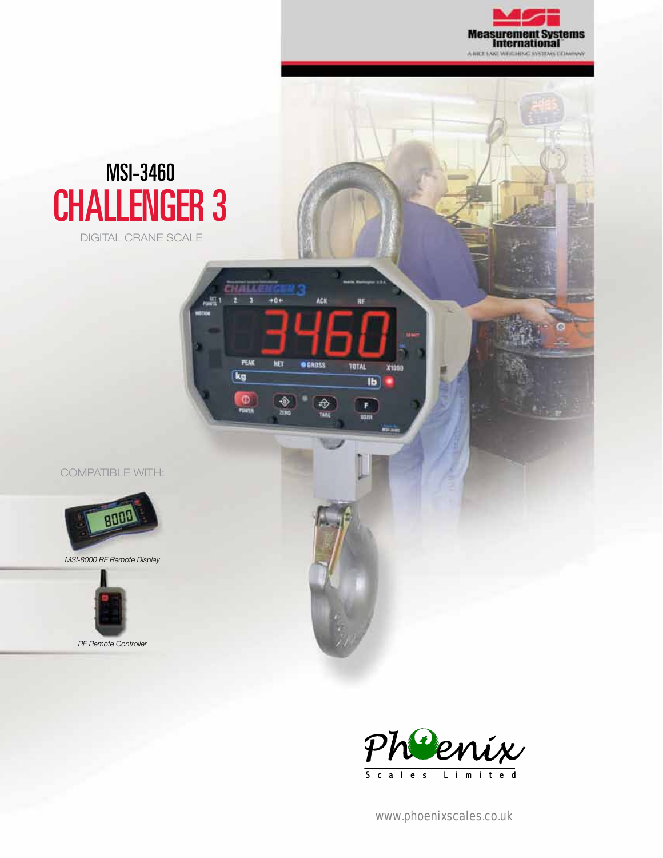



**CHALL** 

 $2 - 3$ 

**PEAK** 

 $\frac{\Phi}{\text{round}}$ 

kg

 $+0+$ 

NET

 $rac{1}{200}$ 

**ACK** 

**OGROSS** 

 $\Rightarrow$ 

镚

RF

TOTAL

 $\overline{1}$ 

F

119319

X1000

■

Compatible With:



*MSI-8000 RF Remote Display*



*RF Remote Controller*



www.phoenixscales.co.uk